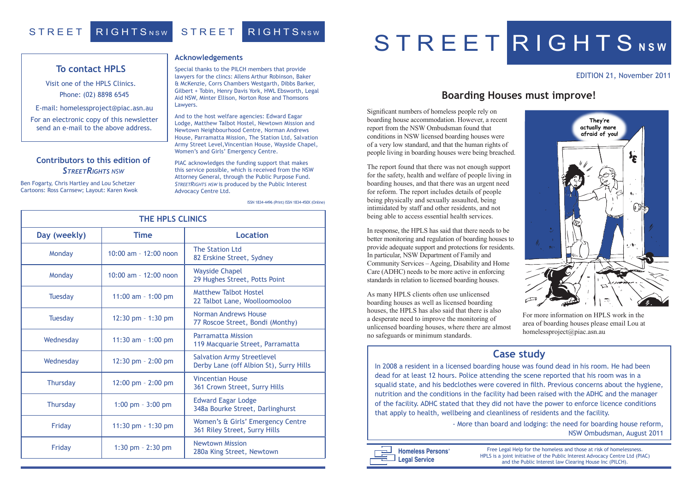### EDITION 21, November 2011

### **Acknowledgements**

Special thanks to the PILCH members that provide lawyers for the clincs: Allens Arthur Robinson, Baker & McKenzie, Corrs Chambers Westgarth, Dibbs Barker, Gilbert + Tobin, Henry Davis York, HWL Ebsworth, Legal Aid NSW, Minter Ellison, Norton Rose and Thomsons Lawyers.

And to the host welfare agencies: Edward Eagar Lodge, Matthew Talbot Hostel, Newtown Mission and Newtown Neighbourhood Centre, Norman Andrews House, Parramatta Mission, The Station Ltd, Salvation Army Street Level,Vincentian House, Wayside Chapel, Women's and Girls' Emergency Centre.

PIAC acknowledges the funding support that makes this service possible, which is received from the NSW Attorney General, through the Public Purpose Fund. *STREETRIGHTS NSW* is produced by the Public Interest Advocacy Centre Ltd.

| <b>THE HPLS CLINICS</b> |                         |                                                                              |
|-------------------------|-------------------------|------------------------------------------------------------------------------|
| Day (weekly)            | <b>Time</b>             | <b>Location</b>                                                              |
| Monday                  | 10:00 am - $12:00$ noon | <b>The Station Ltd</b><br>82 Erskine Street, Sydney                          |
| Monday                  | $10:00$ am - 12:00 noon | <b>Wayside Chapel</b><br>29 Hughes Street, Potts Point                       |
| <b>Tuesday</b>          | 11:00 am $-$ 1:00 pm    | <b>Matthew Talbot Hostel</b><br>22 Talbot Lane, Woolloomooloo                |
| <b>Tuesday</b>          | $12:30$ pm $-1:30$ pm   | Norman Andrews House<br>77 Roscoe Street, Bondi (Monthy)                     |
| Wednesday               | 11:30 am - 1:00 pm      | <b>Parramatta Mission</b><br>119 Macquarie Street, Parramatta                |
| Wednesday               | $12:30$ pm $- 2:00$ pm  | <b>Salvation Army Streetlevel</b><br>Derby Lane (off Albion St), Surry Hills |
| <b>Thursday</b>         | 12:00 pm - 2:00 pm      | <b>Vincentian House</b><br>361 Crown Street, Surry Hills                     |
| <b>Thursday</b>         | 1:00 pm $-3:00$ pm      | <b>Edward Eagar Lodge</b><br>348a Bourke Street, Darlinghurst                |
| Friday                  | 11:30 pm $-1:30$ pm     | Women's & Girls' Emergency Centre<br>361 Riley Street, Surry Hills           |
| Friday                  | 1:30 pm $- 2:30$ pm     | <b>Newtown Mission</b><br>280a King Street, Newtown                          |

# S T R E E T R I G H T S NSW

### **Contributors to this edition of**  *StreetRights NSW*

Ben Fogarty, Chris Hartley and Lou Schetzer Cartoons: Ross Carnsew; Layout: Karen Kwok

> Free Legal Help for the homeless and those at risk of homelessness. HPLS is a joint initiative of the Public Interest Advocacy Centre Ltd (PIAC) and the Public Interest law Clearing House Inc (PILCH).



ISSN 1834-4496 (Print) ISSN 1834-450X (Online)

## STREET RIGHTSNSW STREET RIGHTSNSW

### **To contact HPLS**

Visit one of the HPLS Clinics. Phone: (02) 8898 6545

E-mail: homelessproject@piac.asn.au

For an electronic copy of this newsletter send an e-mail to the above address.

## **Boarding Houses must improve!**

Significant numbers of homeless people rely on boarding house accommodation. However, a recent report from the NSW Ombudsman found that conditions in NSW licensed boarding houses were of a very low standard, and that the human rights of people living in boarding houses were being breached.

The report found that there was not enough support for the safety, health and welfare of people living in boarding houses, and that there was an urgent need for reform. The report includes details of people being physically and sexually assaulted, being intimidated by staff and other residents, and not being able to access essential health services.

In response, the HPLS has said that there needs to be better monitoring and regulation of boarding houses to provide adequate support and protections for residents. In particular, NSW Department of Family and Community Services – Ageing, Disability and Home Care (ADHC) needs to be more active in enforcing standards in relation to licensed boarding houses.

As many HPLS clients often use unlicensed boarding houses as well as licensed boarding houses, the HPLS has also said that there is also a desperate need to improve the monitoring of unlicensed boarding houses, where there are almost no safeguards or minimum standards.

For more information on HPLS work in the area of boarding houses please email Lou at homelessproject@piac.asn.au

## **Case study**

In 2008 a resident in a licensed boarding house was found dead in his room. He had been dead for at least 12 hours. Police attending the scene reported that his room was in a squalid state, and his bedclothes were covered in filth. Previous concerns about the hygiene, nutrition and the conditions in the facility had been raised with the ADHC and the manager of the facility. ADHC stated that they did not have the power to enforce licence conditions that apply to health, wellbeing and cleanliness of residents and the facility. - More than board and lodging: the need for boarding house reform,

NSW Ombudsman, August 2011